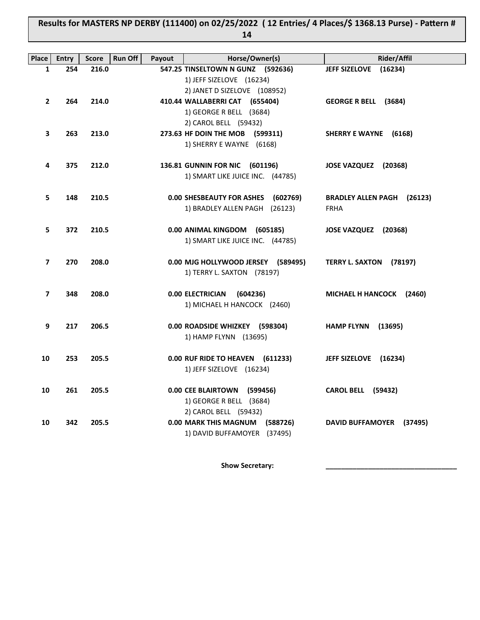## Results for MASTERS NP DERBY (111400) on 02/25/2022 (12 Entries/ 4 Places/\$ 1368.13 Purse) - Pattern # **14**

| Place          | <b>Entry</b> | <b>Score</b> | <b>Run Off</b><br>Payout | Horse/Owner(s)                                         | Rider/Affil                                         |
|----------------|--------------|--------------|--------------------------|--------------------------------------------------------|-----------------------------------------------------|
| $\mathbf{1}$   | 254          | 216.0        |                          | 547.25 TINSELTOWN N GUNZ (592636)                      | JEFF SIZELOVE (16234)                               |
|                |              |              |                          | 1) JEFF SIZELOVE (16234)                               |                                                     |
|                |              |              |                          | 2) JANET D SIZELOVE (108952)                           |                                                     |
| $\mathbf{2}$   | 264          | 214.0        |                          | 410.44 WALLABERRI CAT (655404)                         | GEORGE R BELL (3684)                                |
|                |              |              |                          | 1) GEORGE R BELL (3684)                                |                                                     |
|                |              |              |                          | 2) CAROL BELL (59432)                                  |                                                     |
| 3              | 263          | 213.0        |                          | 273.63 HF DOIN THE MOB (599311)                        | SHERRY E WAYNE (6168)                               |
|                |              |              |                          | 1) SHERRY E WAYNE (6168)                               |                                                     |
|                |              |              |                          |                                                        |                                                     |
| 4              | 375          | 212.0        |                          | 136.81 GUNNIN FOR NIC (601196)                         | <b>JOSE VAZQUEZ</b><br>(20368)                      |
|                |              |              |                          | 1) SMART LIKE JUICE INC. (44785)                       |                                                     |
| 5              | 148          | 210.5        |                          | 0.00 SHESBEAUTY FOR ASHES (602769)                     |                                                     |
|                |              |              |                          | 1) BRADLEY ALLEN PAGH (26123)                          | <b>BRADLEY ALLEN PAGH</b><br>(26123)<br><b>FRHA</b> |
|                |              |              |                          |                                                        |                                                     |
| 5              | 372          | 210.5        |                          | 0.00 ANIMAL KINGDOM (605185)                           | JOSE VAZQUEZ (20368)                                |
|                |              |              |                          | 1) SMART LIKE JUICE INC. (44785)                       |                                                     |
|                |              |              |                          |                                                        |                                                     |
| $\overline{7}$ | 270          | 208.0        |                          | 0.00 MJG HOLLYWOOD JERSEY (589495)                     | TERRY L. SAXTON (78197)                             |
|                |              |              |                          | 1) TERRY L. SAXTON (78197)                             |                                                     |
|                |              |              |                          |                                                        |                                                     |
| $\overline{ }$ | 348          | 208.0        |                          | <b>0.00 ELECTRICIAN</b><br>(604236)                    | MICHAEL H HANCOCK (2460)                            |
|                |              |              |                          | 1) MICHAEL H HANCOCK (2460)                            |                                                     |
|                |              |              |                          |                                                        |                                                     |
| 9              | 217          | 206.5        |                          | 0.00 ROADSIDE WHIZKEY (598304)                         | <b>HAMP FLYNN</b><br>(13695)                        |
|                |              |              |                          | 1) HAMP FLYNN (13695)                                  |                                                     |
|                |              |              |                          |                                                        |                                                     |
| 10             | 253          | 205.5        |                          | 0.00 RUF RIDE TO HEAVEN (611233)                       | JEFF SIZELOVE (16234)                               |
|                |              |              |                          | 1) JEFF SIZELOVE (16234)                               |                                                     |
|                | 261          | 205.5        |                          |                                                        |                                                     |
| 10             |              |              |                          | 0.00 CEE BLAIRTOWN (599456)<br>1) GEORGE R BELL (3684) | <b>CAROL BELL (59432)</b>                           |
|                |              |              |                          | 2) CAROL BELL (59432)                                  |                                                     |
| 10             | 342          | 205.5        |                          | 0.00 MARK THIS MAGNUM (588726)                         | DAVID BUFFAMOYER (37495)                            |
|                |              |              |                          | 1) DAVID BUFFAMOYER (37495)                            |                                                     |
|                |              |              |                          |                                                        |                                                     |

Show Secretary: